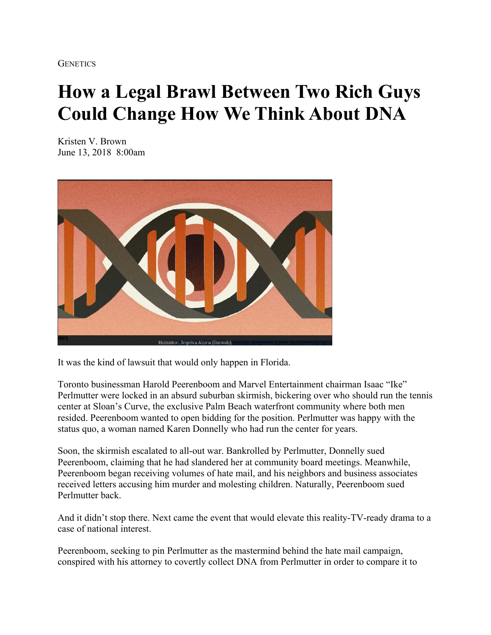**GENETICS** 

## **How a Legal Brawl Between Two Rich Guys Could Change How We Think About DNA**

Kristen V. Brown June 13, 2018 8:00am



It was the kind of lawsuit that would only happen in Florida.

Toronto businessman Harold Peerenboom and Marvel Entertainment chairman Isaac "Ike" Perlmutter were locked in an absurd suburban skirmish, bickering over who should run the tennis center at Sloan's Curve, the exclusive Palm Beach waterfront community where both men resided. Peerenboom wanted to open bidding for the position. Perlmutter was happy with the status quo, a woman named Karen Donnelly who had run the center for years.

Soon, the skirmish escalated to all-out war. Bankrolled by Perlmutter, Donnelly sued Peerenboom, claiming that he had slandered her at community board meetings. Meanwhile, Peerenboom began receiving volumes of hate mail, and his neighbors and business associates received letters accusing him murder and molesting children. Naturally, Peerenboom sued Perlmutter back.

And it didn't stop there. Next came the event that would elevate this reality-TV-ready drama to a case of national interest.

Peerenboom, seeking to pin Perlmutter as the mastermind behind the hate mail campaign, conspired with his attorney to covertly collect DNA from Perlmutter in order to compare it to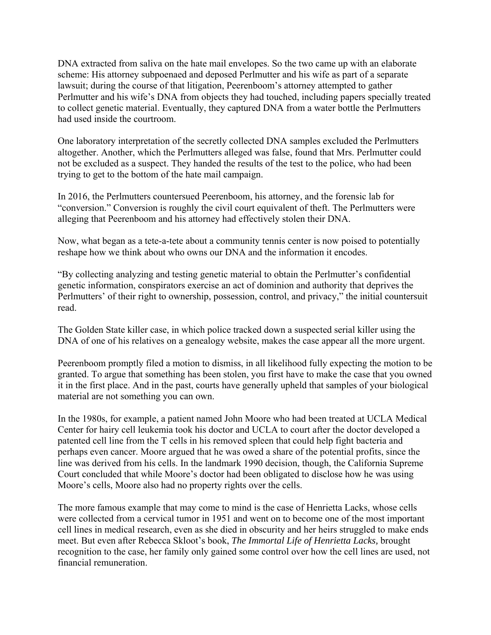DNA extracted from saliva on the hate mail envelopes. So the two came up with an elaborate scheme: His attorney subpoenaed and deposed Perlmutter and his wife as part of a separate lawsuit; during the course of that litigation, Peerenboom's attorney attempted to gather Perlmutter and his wife's DNA from objects they had touched, including papers specially treated to collect genetic material. Eventually, they captured DNA from a water bottle the Perlmutters had used inside the courtroom.

One laboratory interpretation of the secretly collected DNA samples excluded the Perlmutters altogether. Another, which the Perlmutters alleged was false, found that Mrs. Perlmutter could not be excluded as a suspect. They handed the results of the test to the police, who had been trying to get to the bottom of the hate mail campaign.

In 2016, the Perlmutters countersued Peerenboom, his attorney, and the forensic lab for "conversion." Conversion is roughly the civil court equivalent of theft. The Perlmutters were alleging that Peerenboom and his attorney had effectively stolen their DNA.

Now, what began as a tete-a-tete about a community tennis center is now poised to potentially reshape how we think about who owns our DNA and the information it encodes.

"By collecting analyzing and testing genetic material to obtain the Perlmutter's confidential genetic information, conspirators exercise an act of dominion and authority that deprives the Perlmutters' of their right to ownership, possession, control, and privacy," the initial countersuit read.

The Golden State killer case, in which police tracked down a suspected serial killer using the DNA of one of his relatives on a genealogy website, makes the case appear all the more urgent.

Peerenboom promptly filed a motion to dismiss, in all likelihood fully expecting the motion to be granted. To argue that something has been stolen, you first have to make the case that you owned it in the first place. And in the past, courts have generally upheld that samples of your biological material are not something you can own.

In the 1980s, for example, a patient named John Moore who had been treated at UCLA Medical Center for hairy cell leukemia took his doctor and UCLA to court after the doctor developed a patented cell line from the T cells in his removed spleen that could help fight bacteria and perhaps even cancer. Moore argued that he was owed a share of the potential profits, since the line was derived from his cells. In the landmark 1990 decision, though, the California Supreme Court concluded that while Moore's doctor had been obligated to disclose how he was using Moore's cells, Moore also had no property rights over the cells.

The more famous example that may come to mind is the case of Henrietta Lacks, whose cells were collected from a cervical tumor in 1951 and went on to become one of the most important cell lines in medical research, even as she died in obscurity and her heirs struggled to make ends meet. But even after Rebecca Skloot's book, *The Immortal Life of Henrietta Lacks,* brought recognition to the case, her family only gained some control over how the cell lines are used, not financial remuneration.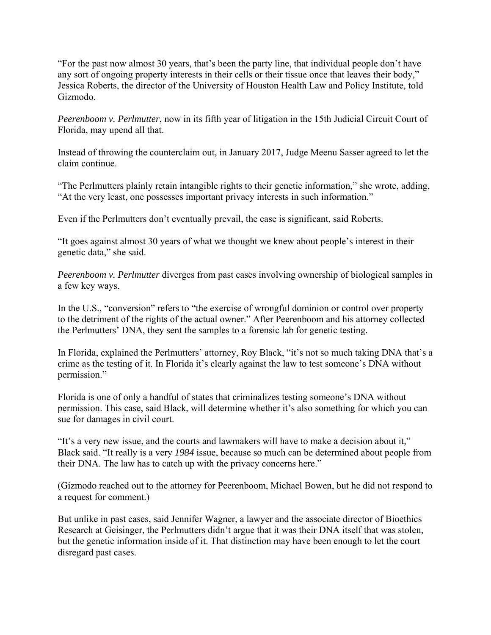"For the past now almost 30 years, that's been the party line, that individual people don't have any sort of ongoing property interests in their cells or their tissue once that leaves their body," Jessica Roberts, the director of the University of Houston Health Law and Policy Institute, told Gizmodo.

*Peerenboom v. Perlmutter*, now in its fifth year of litigation in the 15th Judicial Circuit Court of Florida, may upend all that.

Instead of throwing the counterclaim out, in January 2017, Judge Meenu Sasser agreed to let the claim continue.

"The Perlmutters plainly retain intangible rights to their genetic information," she wrote, adding, "At the very least, one possesses important privacy interests in such information."

Even if the Perlmutters don't eventually prevail, the case is significant, said Roberts.

"It goes against almost 30 years of what we thought we knew about people's interest in their genetic data," she said.

*Peerenboom v. Perlmutter* diverges from past cases involving ownership of biological samples in a few key ways.

In the U.S., "conversion" refers to "the exercise of wrongful dominion or control over property to the detriment of the rights of the actual owner." After Peerenboom and his attorney collected the Perlmutters' DNA, they sent the samples to a forensic lab for genetic testing.

In Florida, explained the Perlmutters' attorney, Roy Black, "it's not so much taking DNA that's a crime as the testing of it. In Florida it's clearly against the law to test someone's DNA without permission."

Florida is one of only a handful of states that criminalizes testing someone's DNA without permission. This case, said Black, will determine whether it's also something for which you can sue for damages in civil court.

"It's a very new issue, and the courts and lawmakers will have to make a decision about it," Black said. "It really is a very *1984* issue, because so much can be determined about people from their DNA. The law has to catch up with the privacy concerns here."

(Gizmodo reached out to the attorney for Peerenboom, Michael Bowen, but he did not respond to a request for comment.)

But unlike in past cases, said Jennifer Wagner, a lawyer and the associate director of Bioethics Research at Geisinger, the Perlmutters didn't argue that it was their DNA itself that was stolen, but the genetic information inside of it. That distinction may have been enough to let the court disregard past cases.